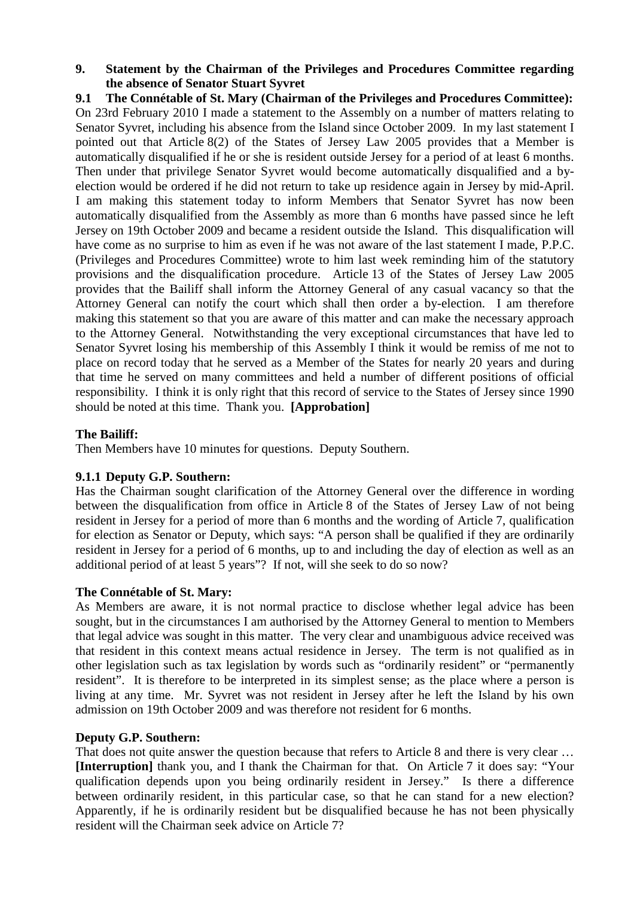## **9. Statement by the Chairman of the Privileges and Procedures Committee regarding the absence of Senator Stuart Syvret**

**9.1 The Connétable of St. Mary (Chairman of the Privileges and Procedures Committee):**  On 23rd February 2010 I made a statement to the Assembly on a number of matters relating to Senator Syvret, including his absence from the Island since October 2009. In my last statement I pointed out that Article 8(2) of the States of Jersey Law 2005 provides that a Member is automatically disqualified if he or she is resident outside Jersey for a period of at least 6 months. Then under that privilege Senator Syvret would become automatically disqualified and a byelection would be ordered if he did not return to take up residence again in Jersey by mid-April. I am making this statement today to inform Members that Senator Syvret has now been automatically disqualified from the Assembly as more than 6 months have passed since he left Jersey on 19th October 2009 and became a resident outside the Island. This disqualification will have come as no surprise to him as even if he was not aware of the last statement I made, P.P.C. (Privileges and Procedures Committee) wrote to him last week reminding him of the statutory provisions and the disqualification procedure. Article 13 of the States of Jersey Law 2005 provides that the Bailiff shall inform the Attorney General of any casual vacancy so that the Attorney General can notify the court which shall then order a by-election. I am therefore making this statement so that you are aware of this matter and can make the necessary approach to the Attorney General. Notwithstanding the very exceptional circumstances that have led to Senator Syvret losing his membership of this Assembly I think it would be remiss of me not to place on record today that he served as a Member of the States for nearly 20 years and during that time he served on many committees and held a number of different positions of official responsibility. I think it is only right that this record of service to the States of Jersey since 1990 should be noted at this time. Thank you. **[Approbation]**

# **The Bailiff:**

Then Members have 10 minutes for questions. Deputy Southern.

# **9.1.1 Deputy G.P. Southern:**

Has the Chairman sought clarification of the Attorney General over the difference in wording between the disqualification from office in Article 8 of the States of Jersey Law of not being resident in Jersey for a period of more than 6 months and the wording of Article 7, qualification for election as Senator or Deputy, which says: "A person shall be qualified if they are ordinarily resident in Jersey for a period of 6 months, up to and including the day of election as well as an additional period of at least 5 years"? If not, will she seek to do so now?

# **The Connétable of St. Mary:**

As Members are aware, it is not normal practice to disclose whether legal advice has been sought, but in the circumstances I am authorised by the Attorney General to mention to Members that legal advice was sought in this matter. The very clear and unambiguous advice received was that resident in this context means actual residence in Jersey. The term is not qualified as in other legislation such as tax legislation by words such as "ordinarily resident" or "permanently resident". It is therefore to be interpreted in its simplest sense; as the place where a person is living at any time. Mr. Syvret was not resident in Jersey after he left the Island by his own admission on 19th October 2009 and was therefore not resident for 6 months.

# **Deputy G.P. Southern:**

That does not quite answer the question because that refers to Article 8 and there is very clear ... **[Interruption]** thank you, and I thank the Chairman for that. On Article 7 it does say: "Your qualification depends upon you being ordinarily resident in Jersey." Is there a difference between ordinarily resident, in this particular case, so that he can stand for a new election? Apparently, if he is ordinarily resident but be disqualified because he has not been physically resident will the Chairman seek advice on Article 7?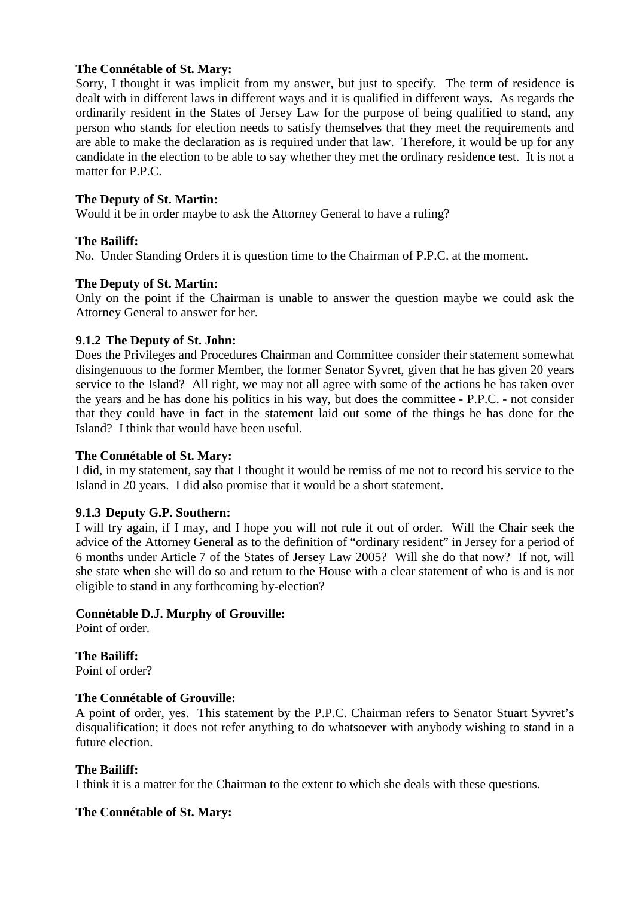# **The Connétable of St. Mary:**

Sorry, I thought it was implicit from my answer, but just to specify. The term of residence is dealt with in different laws in different ways and it is qualified in different ways. As regards the ordinarily resident in the States of Jersey Law for the purpose of being qualified to stand, any person who stands for election needs to satisfy themselves that they meet the requirements and are able to make the declaration as is required under that law. Therefore, it would be up for any candidate in the election to be able to say whether they met the ordinary residence test. It is not a matter for P.P.C.

## **The Deputy of St. Martin:**

Would it be in order maybe to ask the Attorney General to have a ruling?

## **The Bailiff:**

No. Under Standing Orders it is question time to the Chairman of P.P.C. at the moment.

## **The Deputy of St. Martin:**

Only on the point if the Chairman is unable to answer the question maybe we could ask the Attorney General to answer for her.

## **9.1.2 The Deputy of St. John:**

Does the Privileges and Procedures Chairman and Committee consider their statement somewhat disingenuous to the former Member, the former Senator Syvret, given that he has given 20 years service to the Island? All right, we may not all agree with some of the actions he has taken over the years and he has done his politics in his way, but does the committee - P.P.C. - not consider that they could have in fact in the statement laid out some of the things he has done for the Island? I think that would have been useful.

### **The Connétable of St. Mary:**

I did, in my statement, say that I thought it would be remiss of me not to record his service to the Island in 20 years. I did also promise that it would be a short statement.

### **9.1.3 Deputy G.P. Southern:**

I will try again, if I may, and I hope you will not rule it out of order. Will the Chair seek the advice of the Attorney General as to the definition of "ordinary resident" in Jersey for a period of 6 months under Article 7 of the States of Jersey Law 2005? Will she do that now? If not, will she state when she will do so and return to the House with a clear statement of who is and is not eligible to stand in any forthcoming by-election?

# **Connétable D.J. Murphy of Grouville:**

Point of order.

**The Bailiff:**  Point of order?

### **The Connétable of Grouville:**

A point of order, yes. This statement by the P.P.C. Chairman refers to Senator Stuart Syvret's disqualification; it does not refer anything to do whatsoever with anybody wishing to stand in a future election.

### **The Bailiff:**

I think it is a matter for the Chairman to the extent to which she deals with these questions.

# **The Connétable of St. Mary:**